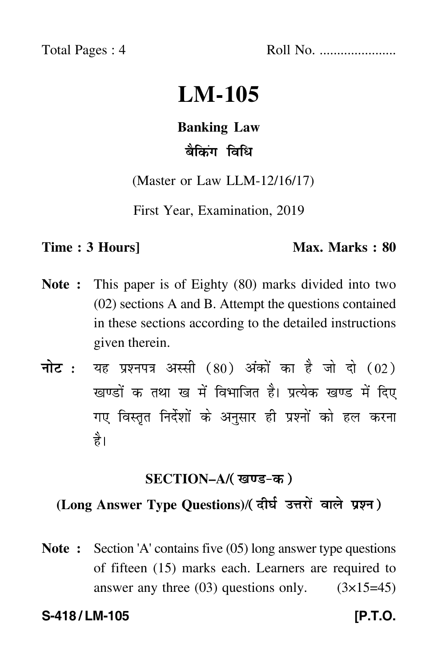Total Pages : 4 Roll No. ......................

# **LM-105**

# **Banking Law**

# बैकिंग विधि

(Master or Law LLM-12/16/17)

First Year, Examination, 2019

#### **Time : 3 Hours** Max. Marks : 80

- **Note :** This paper is of Eighty (80) marks divided into two (02) sections A and B. Attempt the questions contained in these sections according to the detailed instructions given therein.
- नोट : यह प्रश्नपत्र अस्सी (80) अंकों का है जो दो (02) खण्डों क तथा ख में विभाजित है। प्रत्येक खण्ड में दिए गए विस्तृत निर्देशों के अनुसार ही प्रश्नों को हल करन<mark>ा</mark> है।

## **SECTION–A/**

# **(Long Answer Type Questions)**/

**Note :** Section 'A' contains five (05) long answer type questions of fifteen (15) marks each. Learners are required to answer any three  $(03)$  questions only.  $(3\times15=45)$ 

#### **S-418 / LM-105 [P.T.O.**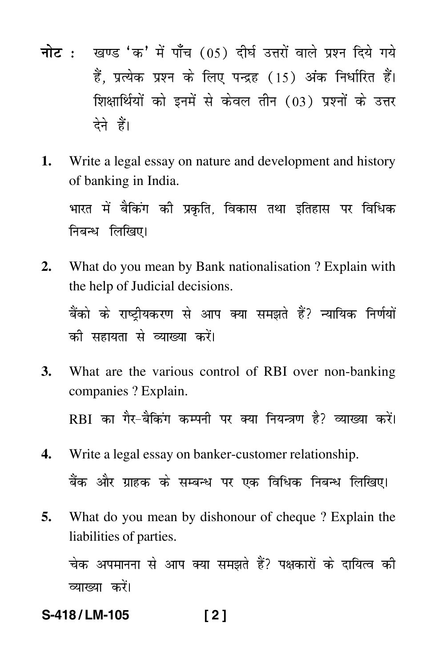- <mark>नोट</mark> : खण्ड 'क' में पाँच (05) दीर्घ उत्तरों वाले प्रश्न दिये गये हैं, प्रत्येक प्रश्न के लिए पन्द्रह (15) अंक निर्धारित हैं। शिक्षार्थियों को इनमें से केवल तीन (03) प्रश्नों के उत्तर देने हैं।
- **1.** Write a legal essay on nature and development and history of banking in India.

भारत में बैकिंग की प्रकृति, विकास तथा इतिहास पर विधिक निबन्ध लिखिए।

**2.** What do you mean by Bank nationalisation ? Explain with the help of Judicial decisions. बैंको के राष्ट्रीयकरण से आप क्या समझते हैं? न्यायिक निर्णयों

को सहायता से व्याख्या करें।

- **3.** What are the various control of RBI over non-banking companies ? Explain. RBI का गैर-बैकिंग कम्पनी पर क्या नियन्त्रण है? व्याख्या करें।
- **4.** Write a legal essay on banker-customer relationship. बैंक और ग्राहक के सम्बन्ध पर एक विधिक निबन्ध लिखिए।
- **5.** What do you mean by dishonour of cheque ? Explain the liabilities of parties.

चेक अपमानना से आप क्या समझते हैं? पक्षकारों के दायित्व की व्याख्या करें।

# **S-418 / LM-105 [ 2 ]**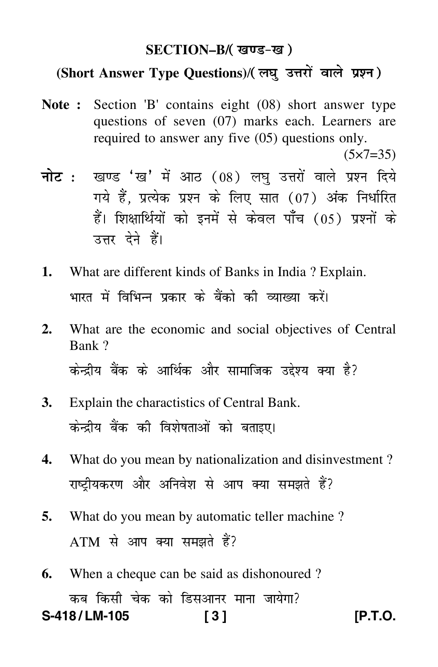### **SECTION–B/**

### **(Short Answer Type Questions)**/

- **Note :** Section 'B' contains eight (08) short answer type questions of seven (07) marks each. Learners are required to answer any five (05) questions only.  $(5 \times 7 = 35)$
- <mark>नोट</mark> : खण्ड 'ख' में आठ (08) लघु उत्तरों वाले प्रश्न दिये गये हैं, प्रत्येक प्रश्न के लिए सात (07) अंक निर्धारित हैं। शिक्षार्थियों को इनमें से केवल पाँच (05) प्रश्नों के उत्तर देने हैं।
- **1.** What are different kinds of Banks in India ? Explain. भारत में विभिन्न प्रकार के बैंको की व्याख्या करें।
- **2.** What are the economic and social objectives of Central Bank ? केन्द्रीय बैंक के आर्थिक और सामाजिक उद्देश्य क्या है?
- **3.** Explain the charactistics of Central Bank. केन्द्रीय बैंक की विशेषताओं को बताइए।
- **4.** What do you mean by nationalization and disinvestment ? राष्ट्रीयकरण और अनिवेश से आप क्या समझते हैं?
- **5.** What do you mean by automatic teller machine ?  $ATM$  से आप क्या समझते हैं?
- **6.** When a cheque can be said as dishonoured ? कब किसी चेक को डिसआनर माना जायेगा? **S-418 / LM-105 [ 3 ] [P.T.O.**